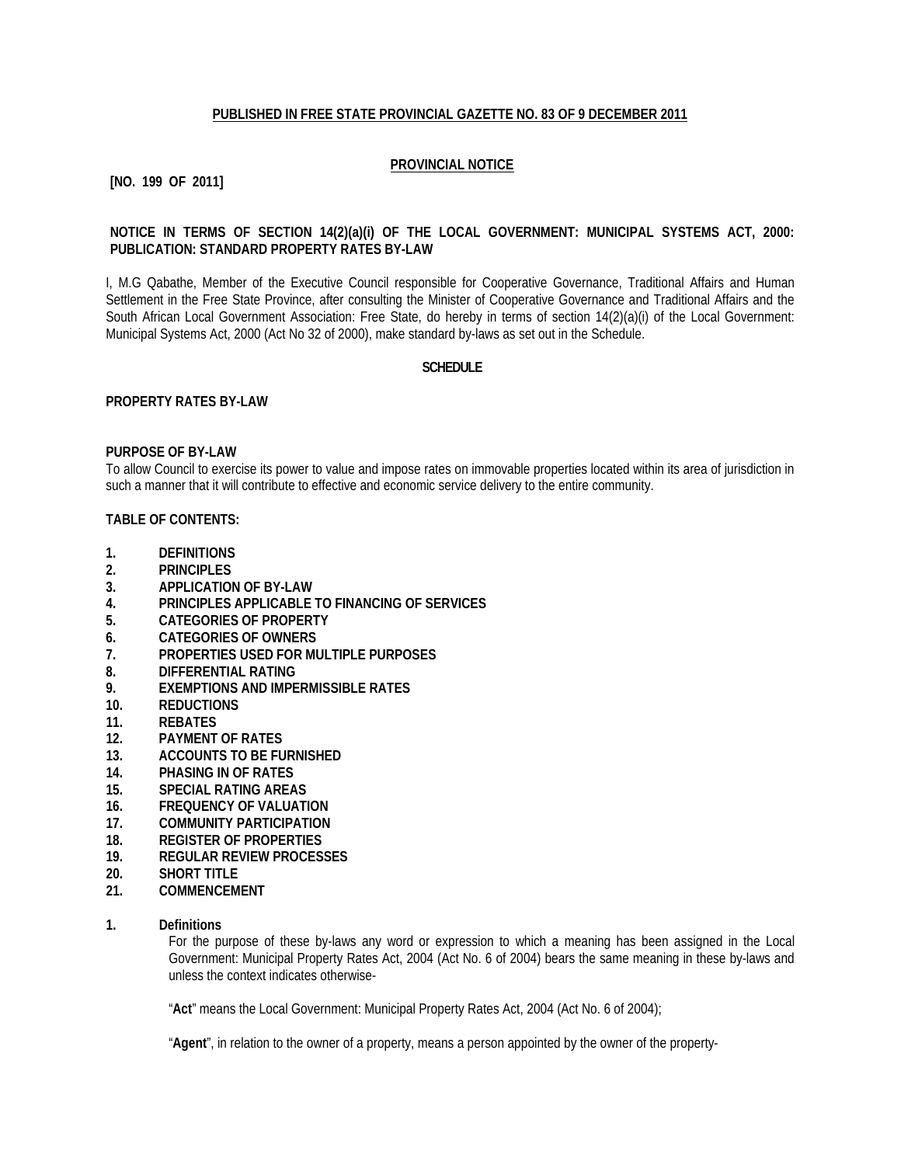# **PUBLISHED IN FREE STATE PROVINCIAL GAZETTE NO. 83 OF 9 DECEMBER 2011**

# **PROVINCIAL NOTICE**

# **[NO. 199 OF 2011]**

# **NOTICE IN TERMS OF SECTION 14(2)(a)(i) OF THE LOCAL GOVERNMENT: MUNICIPAL SYSTEMS ACT, 2000: PUBLICATION: STANDARD PROPERTY RATES BY-LAW**

I, M.G Qabathe, Member of the Executive Council responsible for Cooperative Governance, Traditional Affairs and Human Settlement in the Free State Province, after consulting the Minister of Cooperative Governance and Traditional Affairs and the South African Local Government Association: Free State, do hereby in terms of section 14(2)(a)(i) of the Local Government: Municipal Systems Act, 2000 (Act No 32 of 2000), make standard by-laws as set out in the Schedule.

#### **SCHEDULE**

#### **PROPERTY RATES BY-LAW**

#### **PURPOSE OF BY-LAW**

To allow Council to exercise its power to value and impose rates on immovable properties located within its area of jurisdiction in such a manner that it will contribute to effective and economic service delivery to the entire community.

# **TABLE OF CONTENTS:**

- **1. DEFINITIONS**
- **2. PRINCIPLES**
- **3. APPLICATION OF BY-LAW**
- **4. PRINCIPLES APPLICABLE TO FINANCING OF SERVICES**
- **5. CATEGORIES OF PROPERTY**
- **6. CATEGORIES OF OWNERS**
- **7. PROPERTIES USED FOR MULTIPLE PURPOSES**
- **8. DIFFERENTIAL RATING**
- **9. EXEMPTIONS AND IMPERMISSIBLE RATES**
- **10. REDUCTIONS**
- **11. REBATES**
- **12. PAYMENT OF RATES**
- **13. ACCOUNTS TO BE FURNISHED**
- **14. PHASING IN OF RATES**
- **15. SPECIAL RATING AREAS**
- **16. FREQUENCY OF VALUATION**
- **17. COMMUNITY PARTICIPATION**
- **18. REGISTER OF PROPERTIES**
- **19. REGULAR REVIEW PROCESSES**
- **20. SHORT TITLE**
- **21. COMMENCEMENT**
- **1. Definitions**

For the purpose of these by-laws any word or expression to which a meaning has been assigned in the Local Government: Municipal Property Rates Act, 2004 (Act No. 6 of 2004) bears the same meaning in these by-laws and unless the context indicates otherwise-

"**Act**" means the Local Government: Municipal Property Rates Act, 2004 (Act No. 6 of 2004);

"**Agent**", in relation to the owner of a property, means a person appointed by the owner of the property-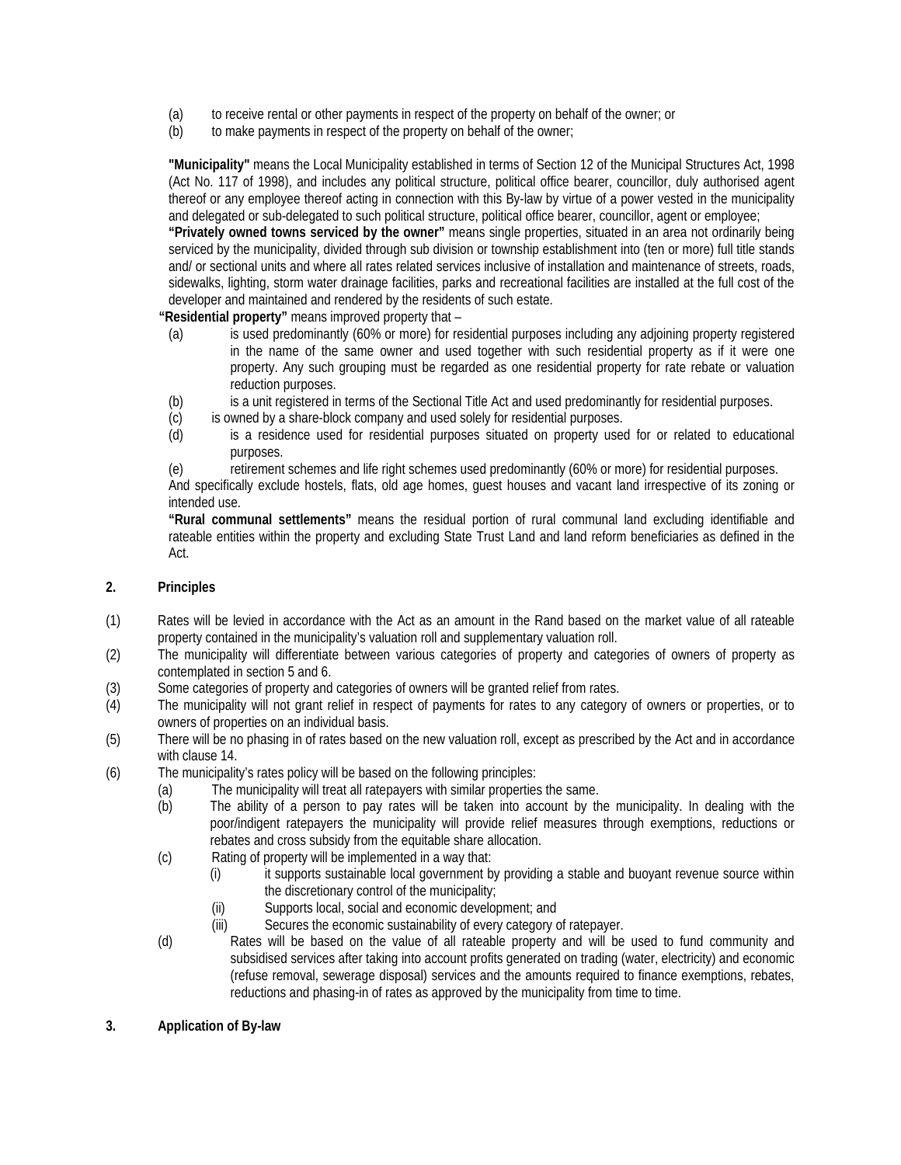- (a) to receive rental or other payments in respect of the property on behalf of the owner; or
- (b) to make payments in respect of the property on behalf of the owner;

**"Municipality"** means the Local Municipality established in terms of Section 12 of the Municipal Structures Act, 1998 (Act No. 117 of 1998), and includes any political structure, political office bearer, councillor, duly authorised agent thereof or any employee thereof acting in connection with this By-law by virtue of a power vested in the municipality and delegated or sub-delegated to such political structure, political office bearer, councillor, agent or employee;

**"Privately owned towns serviced by the owner"** means single properties, situated in an area not ordinarily being serviced by the municipality, divided through sub division or township establishment into (ten or more) full title stands and/ or sectional units and where all rates related services inclusive of installation and maintenance of streets, roads, sidewalks, lighting, storm water drainage facilities, parks and recreational facilities are installed at the full cost of the developer and maintained and rendered by the residents of such estate.

**"Residential property"** means improved property that –

- (a) is used predominantly (60% or more) for residential purposes including any adjoining property registered in the name of the same owner and used together with such residential property as if it were one property. Any such grouping must be regarded as one residential property for rate rebate or valuation reduction purposes.
- (b) is a unit registered in terms of the Sectional Title Act and used predominantly for residential purposes.
- (c) is owned by a share-block company and used solely for residential purposes.
- (d) is a residence used for residential purposes situated on property used for or related to educational purposes.
- (e) retirement schemes and life right schemes used predominantly (60% or more) for residential purposes.

And specifically exclude hostels, flats, old age homes, guest houses and vacant land irrespective of its zoning or intended use.

**"Rural communal settlements"** means the residual portion of rural communal land excluding identifiable and rateable entities within the property and excluding State Trust Land and land reform beneficiaries as defined in the Act.

# **2. Principles**

- (1) Rates will be levied in accordance with the Act as an amount in the Rand based on the market value of all rateable property contained in the municipality's valuation roll and supplementary valuation roll.
- (2) The municipality will differentiate between various categories of property and categories of owners of property as contemplated in section 5 and 6.
- (3) Some categories of property and categories of owners will be granted relief from rates.
- (4) The municipality will not grant relief in respect of payments for rates to any category of owners or properties, or to owners of properties on an individual basis.
- (5) There will be no phasing in of rates based on the new valuation roll, except as prescribed by the Act and in accordance with clause 14.
- (6) The municipality's rates policy will be based on the following principles:
	- (a) The municipality will treat all ratepayers with similar properties the same.
		- (b) The ability of a person to pay rates will be taken into account by the municipality. In dealing with the poor/indigent ratepayers the municipality will provide relief measures through exemptions, reductions or rebates and cross subsidy from the equitable share allocation.
	- (c) Rating of property will be implemented in a way that:
		- (i) it supports sustainable local government by providing a stable and buoyant revenue source within the discretionary control of the municipality;
		- (ii) Supports local, social and economic development; and
		- (iii) Secures the economic sustainability of every category of ratepayer.
	- (d) Rates will be based on the value of all rateable property and will be used to fund community and subsidised services after taking into account profits generated on trading (water, electricity) and economic (refuse removal, sewerage disposal) services and the amounts required to finance exemptions, rebates, reductions and phasing-in of rates as approved by the municipality from time to time.
- **3. Application of By-law**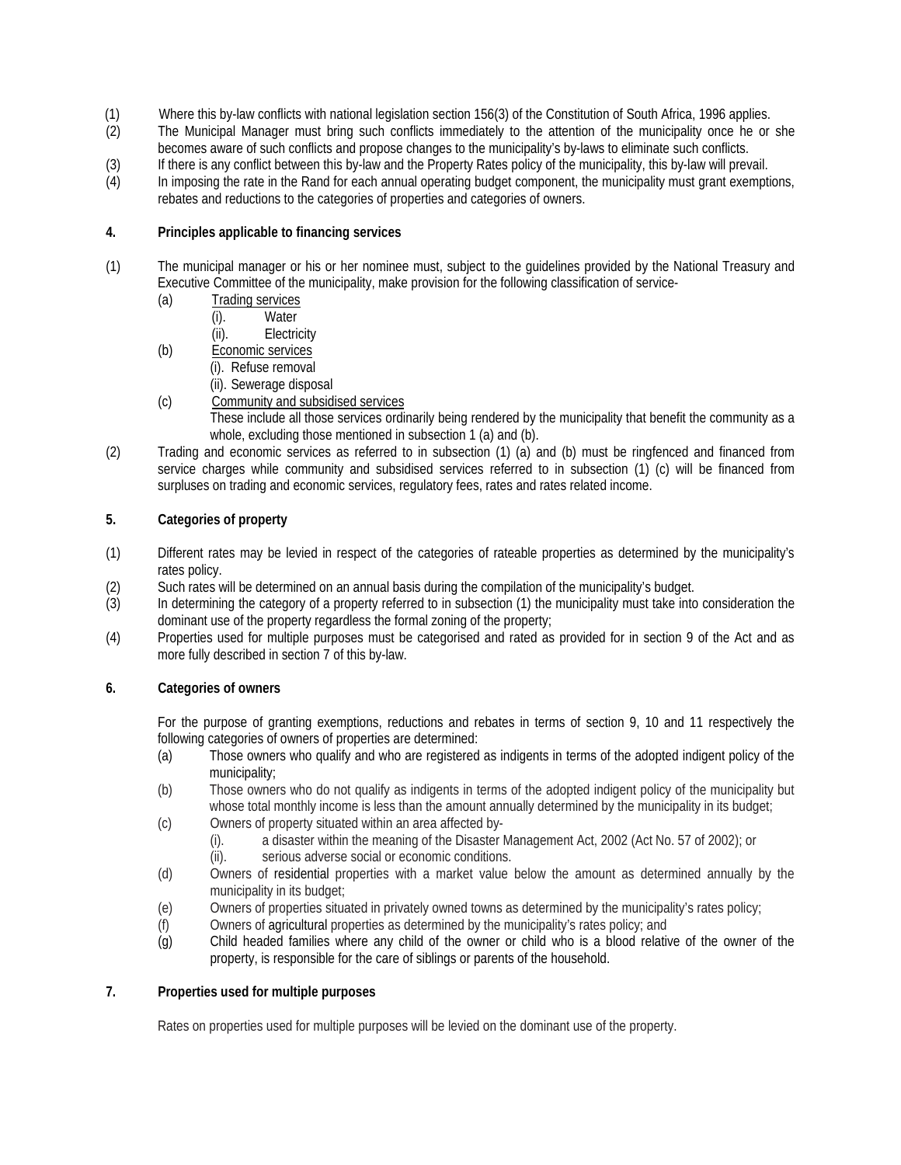- (1) Where this by-law conflicts with national legislation section 156(3) of the Constitution of South Africa, 1996 applies.<br>(2) The Municipal Manager must bring such conflicts immediately to the attention of the municipali
- The Municipal Manager must bring such conflicts immediately to the attention of the municipality once he or she becomes aware of such conflicts and propose changes to the municipality's by-laws to eliminate such conflicts.
- (3) If there is any conflict between this by-law and the Property Rates policy of the municipality, this by-law will prevail.<br>(4) In imposing the rate in the Rand for each annual operating budget component, the municipalit
- In imposing the rate in the Rand for each annual operating budget component, the municipality must grant exemptions, rebates and reductions to the categories of properties and categories of owners.

# **4. Principles applicable to financing services**

- (1) The municipal manager or his or her nominee must, subject to the guidelines provided by the National Treasury and Executive Committee of the municipality, make provision for the following classification of service-
	- (a) Trading services<br>(i). Water
		- Water
		- (ii). Electricity
	- (b) Economic services
		- (i). Refuse removal
		- (ii). Sewerage disposal
	- (c) Community and subsidised services

These include all those services ordinarily being rendered by the municipality that benefit the community as a whole, excluding those mentioned in subsection 1 (a) and (b).

(2) Trading and economic services as referred to in subsection (1) (a) and (b) must be ringfenced and financed from service charges while community and subsidised services referred to in subsection (1) (c) will be financed from surpluses on trading and economic services, regulatory fees, rates and rates related income.

# **5. Categories of property**

- (1) Different rates may be levied in respect of the categories of rateable properties as determined by the municipality's rates policy.
- (2) Such rates will be determined on an annual basis during the compilation of the municipality's budget.
- (3) In determining the category of a property referred to in subsection (1) the municipality must take into consideration the dominant use of the property regardless the formal zoning of the property;
- (4) Properties used for multiple purposes must be categorised and rated as provided for in section 9 of the Act and as more fully described in section 7 of this by-law.

# **6. Categories of owners**

For the purpose of granting exemptions, reductions and rebates in terms of section 9, 10 and 11 respectively the following categories of owners of properties are determined:

- (a) Those owners who qualify and who are registered as indigents in terms of the adopted indigent policy of the municipality;
- (b) Those owners who do not qualify as indigents in terms of the adopted indigent policy of the municipality but whose total monthly income is less than the amount annually determined by the municipality in its budget;
- (c) Owners of property situated within an area affected by-
	- (i). a disaster within the meaning of the Disaster Management Act, 2002 (Act No. 57 of 2002); or (ii). serious adverse social or economic conditions.
		- serious adverse social or economic conditions.
- (d) Owners of residential properties with a market value below the amount as determined annually by the municipality in its budget;
- (e) Owners of properties situated in privately owned towns as determined by the municipality's rates policy;
- (f) Owners of agricultural properties as determined by the municipality's rates policy; and
- (g) Child headed families where any child of the owner or child who is a blood relative of the owner of the property, is responsible for the care of siblings or parents of the household.

# **7. Properties used for multiple purposes**

Rates on properties used for multiple purposes will be levied on the dominant use of the property.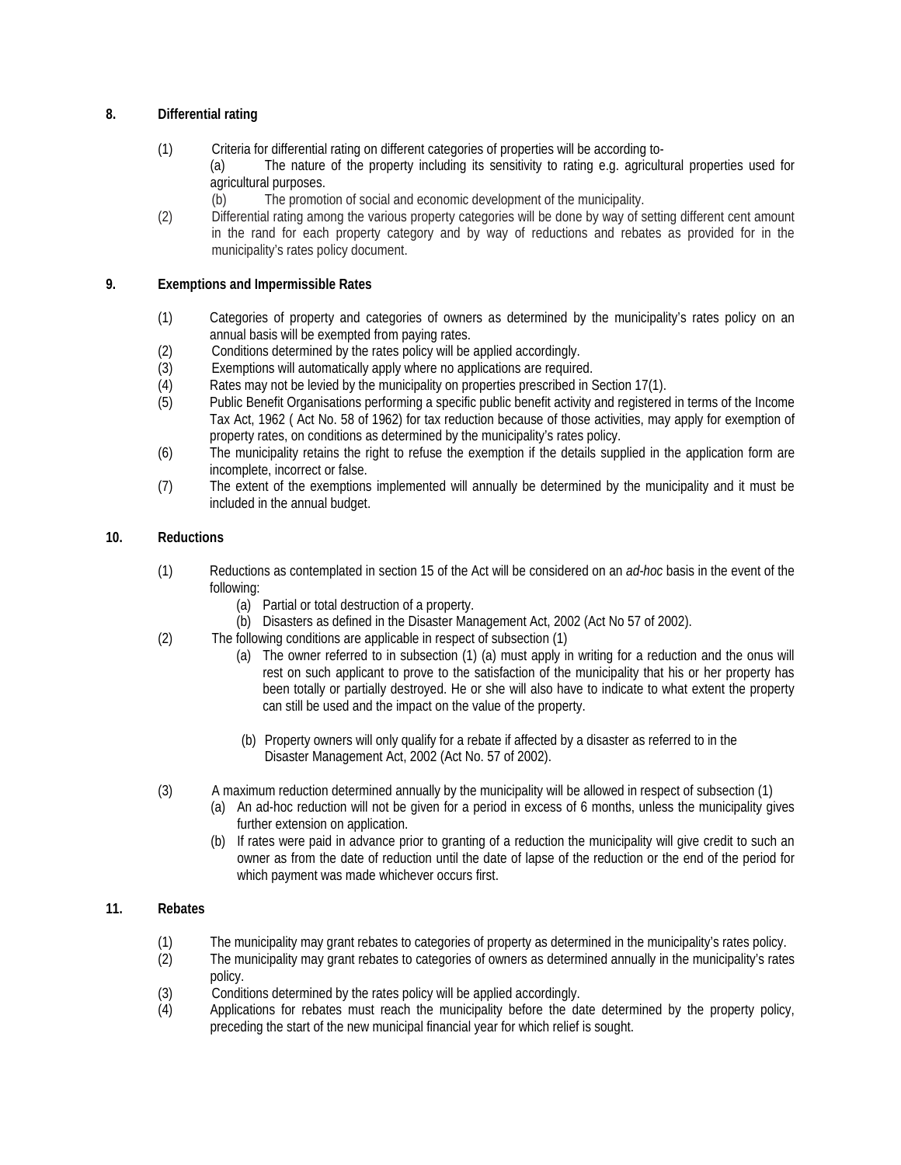# **8. Differential rating**

- (1) Criteria for differential rating on different categories of properties will be according to- (a) The nature of the property including its sensitivity to rating e.g. agricultural properties used for agricultural purposes.
	- (b) The promotion of social and economic development of the municipality.
- (2) Differential rating among the various property categories will be done by way of setting different cent amount in the rand for each property category and by way of reductions and rebates as provided for in the municipality's rates policy document.

# **9. Exemptions and Impermissible Rates**

- (1) Categories of property and categories of owners as determined by the municipality's rates policy on an annual basis will be exempted from paying rates.
- (2) Conditions determined by the rates policy will be applied accordingly.<br>(3) Exemptions will automatically apply where no applications are require
- Exemptions will automatically apply where no applications are required.
- (4) Rates may not be levied by the municipality on properties prescribed in Section 17(1).
- (5) Public Benefit Organisations performing a specific public benefit activity and registered in terms of the Income Tax Act, 1962 ( Act No. 58 of 1962) for tax reduction because of those activities, may apply for exemption of property rates, on conditions as determined by the municipality's rates policy.
- (6) The municipality retains the right to refuse the exemption if the details supplied in the application form are incomplete, incorrect or false.
- (7) The extent of the exemptions implemented will annually be determined by the municipality and it must be included in the annual budget.

# **10. Reductions**

- (1) Reductions as contemplated in section 15 of the Act will be considered on an *ad-hoc* basis in the event of the following:
	- (a) Partial or total destruction of a property.
	- (b) Disasters as defined in the Disaster Management Act, 2002 (Act No 57 of 2002).
- (2) The following conditions are applicable in respect of subsection (1)
	- (a) The owner referred to in subsection (1) (a) must apply in writing for a reduction and the onus will rest on such applicant to prove to the satisfaction of the municipality that his or her property has been totally or partially destroyed. He or she will also have to indicate to what extent the property can still be used and the impact on the value of the property.
	- (b) Property owners will only qualify for a rebate if affected by a disaster as referred to in the Disaster Management Act, 2002 (Act No. 57 of 2002).
- (3) A maximum reduction determined annually by the municipality will be allowed in respect of subsection (1)
	- (a) An ad-hoc reduction will not be given for a period in excess of 6 months, unless the municipality gives further extension on application.
	- (b) If rates were paid in advance prior to granting of a reduction the municipality will give credit to such an owner as from the date of reduction until the date of lapse of the reduction or the end of the period for which payment was made whichever occurs first.

# **11. Rebates**

- (1) The municipality may grant rebates to categories of property as determined in the municipality's rates policy.
- (2) The municipality may grant rebates to categories of owners as determined annually in the municipality's rates policy.
- (3) Conditions determined by the rates policy will be applied accordingly.
- (4) Applications for rebates must reach the municipality before the date determined by the property policy, preceding the start of the new municipal financial year for which relief is sought.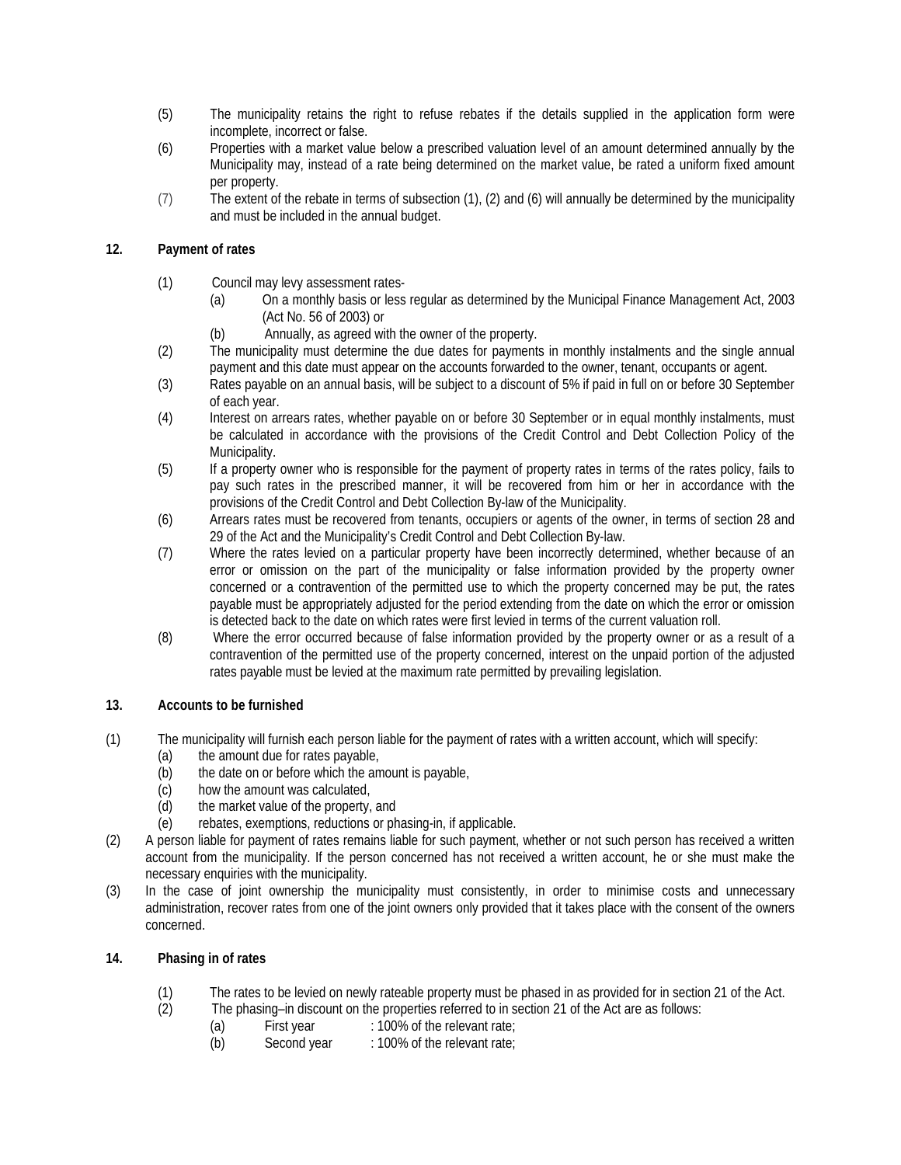- (5) The municipality retains the right to refuse rebates if the details supplied in the application form were incomplete, incorrect or false.
- (6) Properties with a market value below a prescribed valuation level of an amount determined annually by the Municipality may, instead of a rate being determined on the market value, be rated a uniform fixed amount per property.
- (7) The extent of the rebate in terms of subsection (1), (2) and (6) will annually be determined by the municipality and must be included in the annual budget.

# **12. Payment of rates**

- (1) Council may levy assessment rates-
	- (a) On a monthly basis or less regular as determined by the Municipal Finance Management Act, 2003 (Act No. 56 of 2003) or
	- (b) Annually, as agreed with the owner of the property.
- (2) The municipality must determine the due dates for payments in monthly instalments and the single annual payment and this date must appear on the accounts forwarded to the owner, tenant, occupants or agent.
- (3) Rates payable on an annual basis, will be subject to a discount of 5% if paid in full on or before 30 September of each year.
- (4) Interest on arrears rates, whether payable on or before 30 September or in equal monthly instalments, must be calculated in accordance with the provisions of the Credit Control and Debt Collection Policy of the Municipality.
- (5) If a property owner who is responsible for the payment of property rates in terms of the rates policy, fails to pay such rates in the prescribed manner, it will be recovered from him or her in accordance with the provisions of the Credit Control and Debt Collection By-law of the Municipality.
- (6) Arrears rates must be recovered from tenants, occupiers or agents of the owner, in terms of section 28 and 29 of the Act and the Municipality's Credit Control and Debt Collection By-law.
- (7) Where the rates levied on a particular property have been incorrectly determined, whether because of an error or omission on the part of the municipality or false information provided by the property owner concerned or a contravention of the permitted use to which the property concerned may be put, the rates payable must be appropriately adjusted for the period extending from the date on which the error or omission is detected back to the date on which rates were first levied in terms of the current valuation roll.
- (8) Where the error occurred because of false information provided by the property owner or as a result of a contravention of the permitted use of the property concerned, interest on the unpaid portion of the adjusted rates payable must be levied at the maximum rate permitted by prevailing legislation.

# **13. Accounts to be furnished**

- (1) The municipality will furnish each person liable for the payment of rates with a written account, which will specify:
	- (a) the amount due for rates payable,
	- (b) the date on or before which the amount is payable,
	- (c) how the amount was calculated,
	- (d) the market value of the property, and
	- (e) rebates, exemptions, reductions or phasing-in, if applicable.
- (2) A person liable for payment of rates remains liable for such payment, whether or not such person has received a written account from the municipality. If the person concerned has not received a written account, he or she must make the necessary enquiries with the municipality.
- (3) In the case of joint ownership the municipality must consistently, in order to minimise costs and unnecessary administration, recover rates from one of the joint owners only provided that it takes place with the consent of the owners concerned.

# **14. Phasing in of rates**

- (1) The rates to be levied on newly rateable property must be phased in as provided for in section 21 of the Act.<br>(2) The phasing–in discount on the properties referred to in section 21 of the Act are as follows:
- The phasing–in discount on the properties referred to in section 21 of the Act are as follows:
	- (a) First year : 100% of the relevant rate;<br>(b) Second year : 100% of the relevant rate;
	- : 100% of the relevant rate;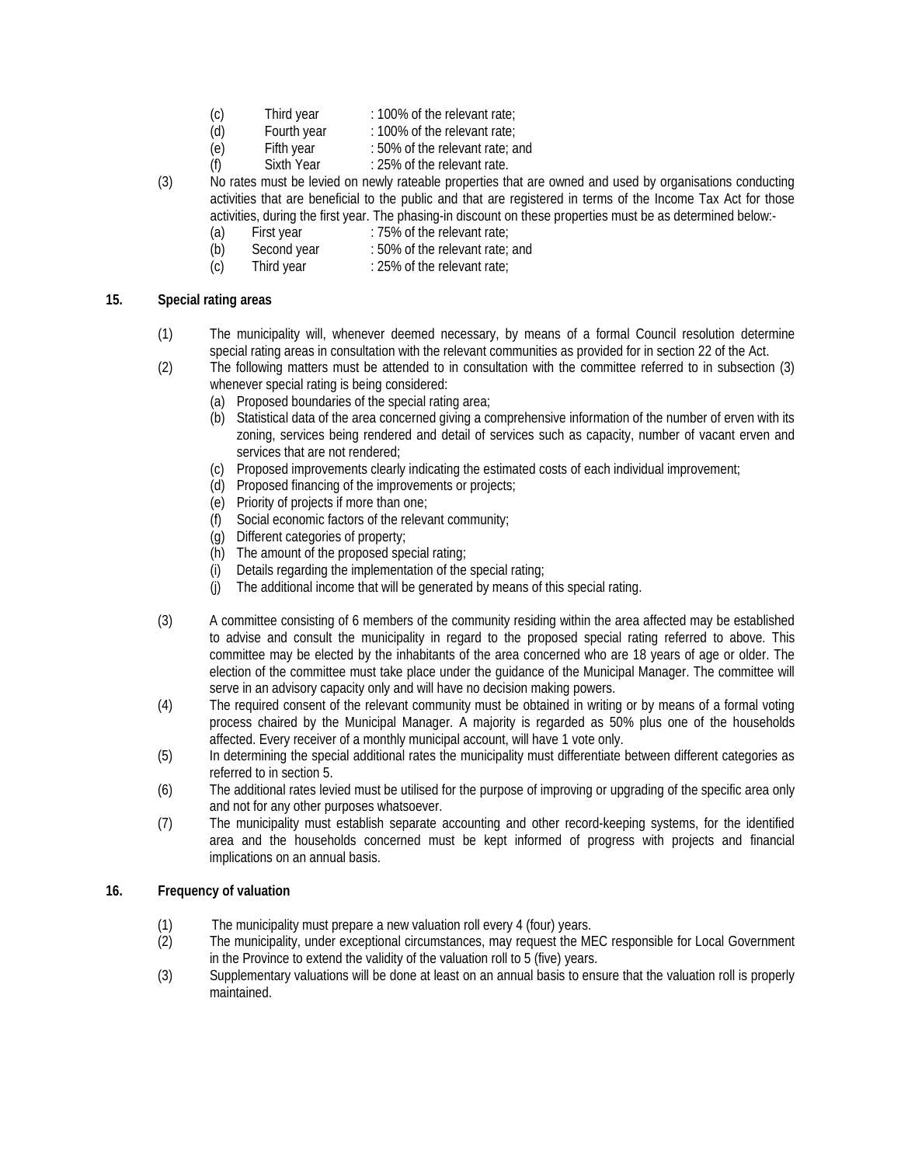- (c) Third year : 100% of the relevant rate;<br>(d) Fourth year : 100% of the relevant rate;
- : 100% of the relevant rate;
- (e) Fifth year : 50% of the relevant rate; and
- (f) Sixth Year : 25% of the relevant rate.
- (3) No rates must be levied on newly rateable properties that are owned and used by organisations conducting activities that are beneficial to the public and that are registered in terms of the Income Tax Act for those activities, during the first year. The phasing-in discount on these properties must be as determined below:-
	- (a) First year : 75% of the relevant rate;
	- (b) Second year : 50% of the relevant rate; and  $\overline{c}$  (c) Third year : 25% of the relevant rate;
	- Third year : 25% of the relevant rate;

# **15. Special rating areas**

- (1) The municipality will, whenever deemed necessary, by means of a formal Council resolution determine special rating areas in consultation with the relevant communities as provided for in section 22 of the Act.
- (2) The following matters must be attended to in consultation with the committee referred to in subsection (3) whenever special rating is being considered:
	- (a) Proposed boundaries of the special rating area;
	- (b) Statistical data of the area concerned giving a comprehensive information of the number of erven with its zoning, services being rendered and detail of services such as capacity, number of vacant erven and services that are not rendered;
	- (c) Proposed improvements clearly indicating the estimated costs of each individual improvement;
	- (d) Proposed financing of the improvements or projects;
	- (e) Priority of projects if more than one;
	- (f) Social economic factors of the relevant community;
	- (g) Different categories of property;
	- (h) The amount of the proposed special rating;
	- (i) Details regarding the implementation of the special rating;
	- (j) The additional income that will be generated by means of this special rating.
- (3) A committee consisting of 6 members of the community residing within the area affected may be established to advise and consult the municipality in regard to the proposed special rating referred to above. This committee may be elected by the inhabitants of the area concerned who are 18 years of age or older. The election of the committee must take place under the guidance of the Municipal Manager. The committee will serve in an advisory capacity only and will have no decision making powers.
- (4) The required consent of the relevant community must be obtained in writing or by means of a formal voting process chaired by the Municipal Manager. A majority is regarded as 50% plus one of the households affected. Every receiver of a monthly municipal account, will have 1 vote only.
- (5) In determining the special additional rates the municipality must differentiate between different categories as referred to in section 5.
- (6) The additional rates levied must be utilised for the purpose of improving or upgrading of the specific area only and not for any other purposes whatsoever.
- (7) The municipality must establish separate accounting and other record-keeping systems, for the identified area and the households concerned must be kept informed of progress with projects and financial implications on an annual basis.

# **16. Frequency of valuation**

- (1) The municipality must prepare a new valuation roll every 4 (four) years.<br>(2) The municipality, under exceptional circumstances, may request the ME
- The municipality, under exceptional circumstances, may request the MEC responsible for Local Government in the Province to extend the validity of the valuation roll to 5 (five) years.
- (3) Supplementary valuations will be done at least on an annual basis to ensure that the valuation roll is properly maintained.